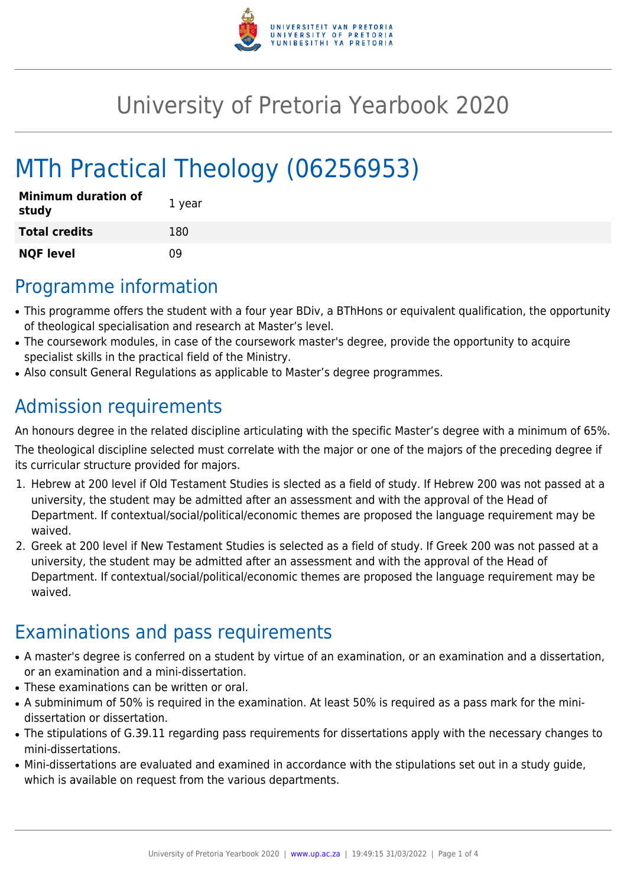

## University of Pretoria Yearbook 2020

# MTh Practical Theology (06256953)

| <b>Minimum duration of</b><br>study | 1 year |
|-------------------------------------|--------|
| <b>Total credits</b>                | 180    |
| <b>NQF level</b>                    | n۹     |

### Programme information

- This programme offers the student with a four year BDiv, a BThHons or equivalent qualification, the opportunity of theological specialisation and research at Master's level.
- The coursework modules, in case of the coursework master's degree, provide the opportunity to acquire specialist skills in the practical field of the Ministry.
- Also consult General Regulations as applicable to Master's degree programmes.

### Admission requirements

An honours degree in the related discipline articulating with the specific Master's degree with a minimum of 65%.

The theological discipline selected must correlate with the major or one of the majors of the preceding degree if its curricular structure provided for majors.

- 1. Hebrew at 200 level if Old Testament Studies is slected as a field of study. If Hebrew 200 was not passed at a university, the student may be admitted after an assessment and with the approval of the Head of Department. If contextual/social/political/economic themes are proposed the language requirement may be waived.
- 2. Greek at 200 level if New Testament Studies is selected as a field of study. If Greek 200 was not passed at a university, the student may be admitted after an assessment and with the approval of the Head of Department. If contextual/social/political/economic themes are proposed the language requirement may be waived.

### Examinations and pass requirements

- A master's degree is conferred on a student by virtue of an examination, or an examination and a dissertation, or an examination and a mini-dissertation.
- These examinations can be written or oral.
- A subminimum of 50% is required in the examination. At least 50% is required as a pass mark for the minidissertation or dissertation.
- The stipulations of G.39.11 regarding pass requirements for dissertations apply with the necessary changes to mini-dissertations.
- Mini-dissertations are evaluated and examined in accordance with the stipulations set out in a study guide, which is available on request from the various departments.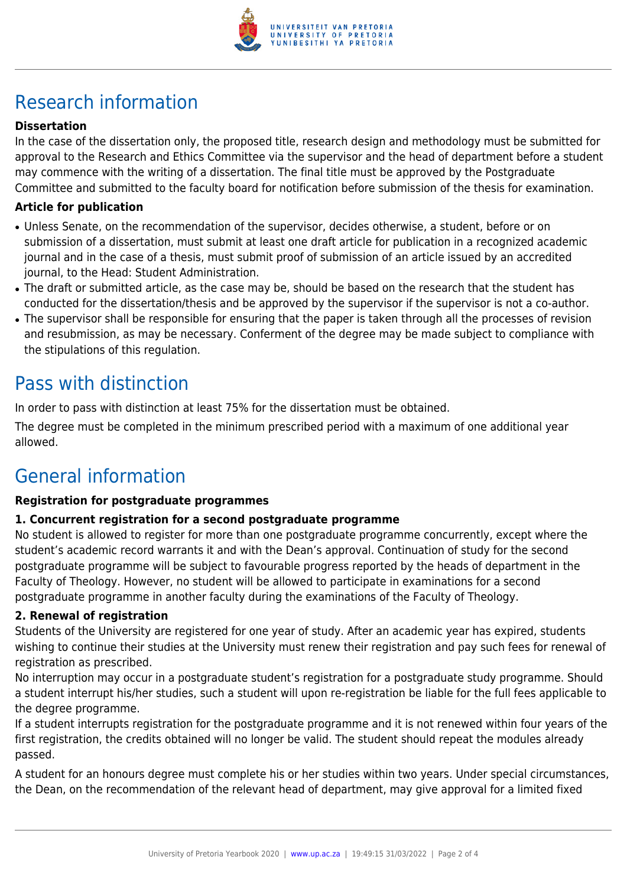

## Research information

#### **Dissertation**

In the case of the dissertation only, the proposed title, research design and methodology must be submitted for approval to the Research and Ethics Committee via the supervisor and the head of department before a student may commence with the writing of a dissertation. The final title must be approved by the Postgraduate Committee and submitted to the faculty board for notification before submission of the thesis for examination.

#### **Article for publication**

- Unless Senate, on the recommendation of the supervisor, decides otherwise, a student, before or on submission of a dissertation, must submit at least one draft article for publication in a recognized academic journal and in the case of a thesis, must submit proof of submission of an article issued by an accredited journal, to the Head: Student Administration.
- The draft or submitted article, as the case may be, should be based on the research that the student has conducted for the dissertation/thesis and be approved by the supervisor if the supervisor is not a co-author.
- The supervisor shall be responsible for ensuring that the paper is taken through all the processes of revision and resubmission, as may be necessary. Conferment of the degree may be made subject to compliance with the stipulations of this regulation.

### Pass with distinction

In order to pass with distinction at least 75% for the dissertation must be obtained.

The degree must be completed in the minimum prescribed period with a maximum of one additional year allowed.

### General information

#### **Registration for postgraduate programmes**

#### **1. Concurrent registration for a second postgraduate programme**

No student is allowed to register for more than one postgraduate programme concurrently, except where the student's academic record warrants it and with the Dean's approval. Continuation of study for the second postgraduate programme will be subject to favourable progress reported by the heads of department in the Faculty of Theology. However, no student will be allowed to participate in examinations for a second postgraduate programme in another faculty during the examinations of the Faculty of Theology.

#### **2. Renewal of registration**

Students of the University are registered for one year of study. After an academic year has expired, students wishing to continue their studies at the University must renew their registration and pay such fees for renewal of registration as prescribed.

No interruption may occur in a postgraduate student's registration for a postgraduate study programme. Should a student interrupt his/her studies, such a student will upon re-registration be liable for the full fees applicable to the degree programme.

If a student interrupts registration for the postgraduate programme and it is not renewed within four years of the first registration, the credits obtained will no longer be valid. The student should repeat the modules already passed.

A student for an honours degree must complete his or her studies within two years. Under special circumstances, the Dean, on the recommendation of the relevant head of department, may give approval for a limited fixed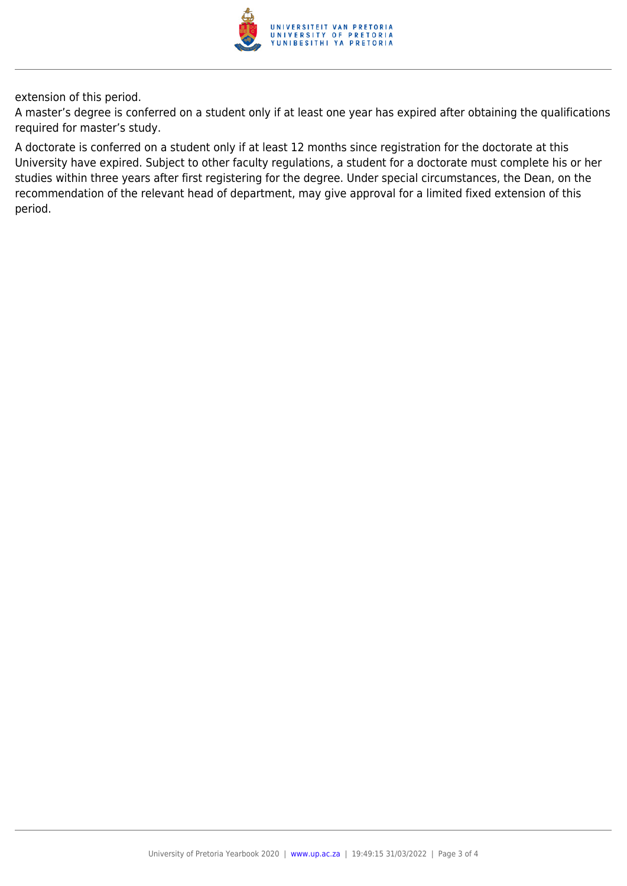

extension of this period.

A master's degree is conferred on a student only if at least one year has expired after obtaining the qualifications required for master's study.

A doctorate is conferred on a student only if at least 12 months since registration for the doctorate at this University have expired. Subject to other faculty regulations, a student for a doctorate must complete his or her studies within three years after first registering for the degree. Under special circumstances, the Dean, on the recommendation of the relevant head of department, may give approval for a limited fixed extension of this period.